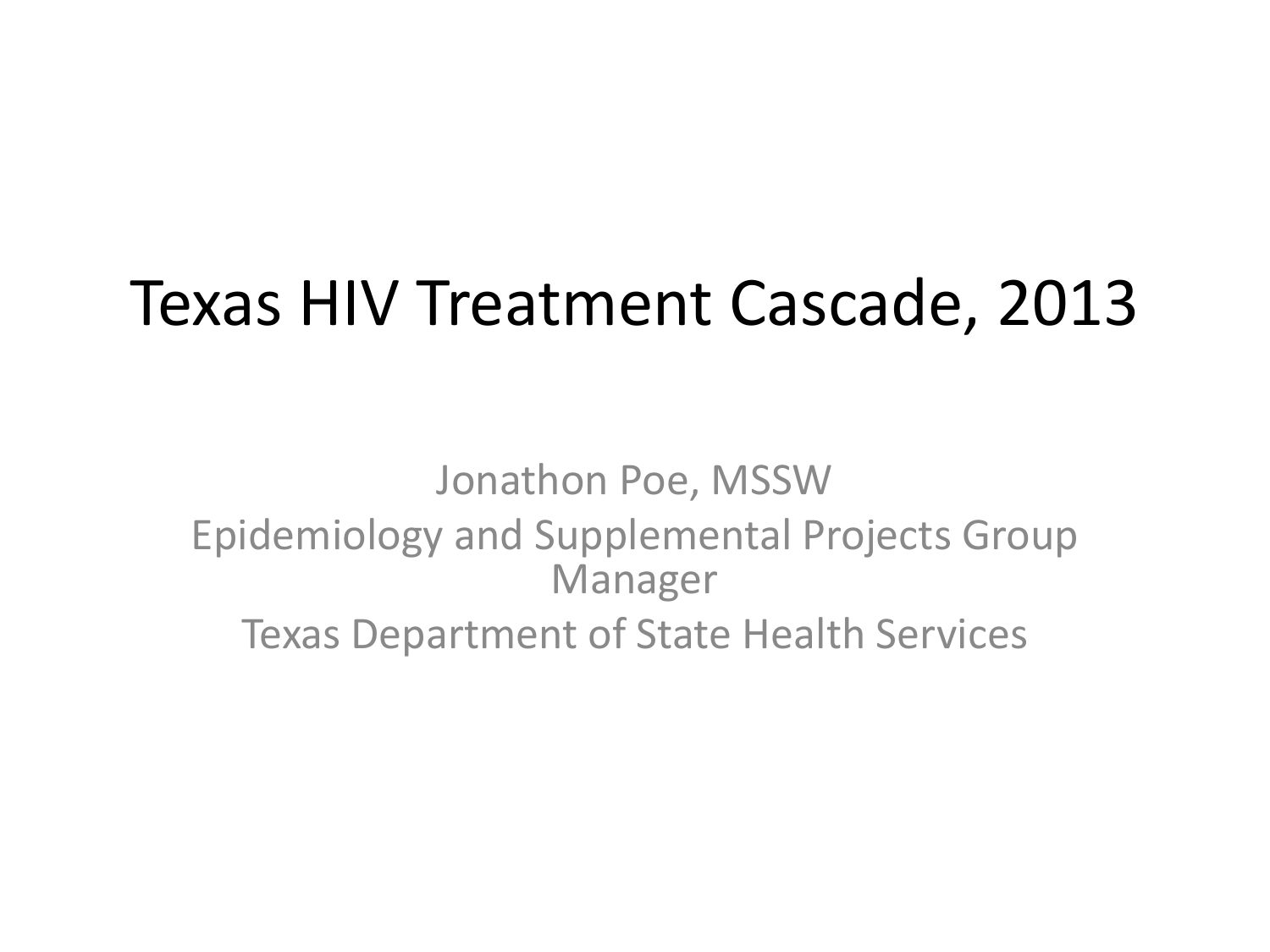### Texas HIV Treatment Cascade, 2013

Jonathon Poe, MSSW Epidemiology and Supplemental Projects Group Manager Texas Department of State Health Services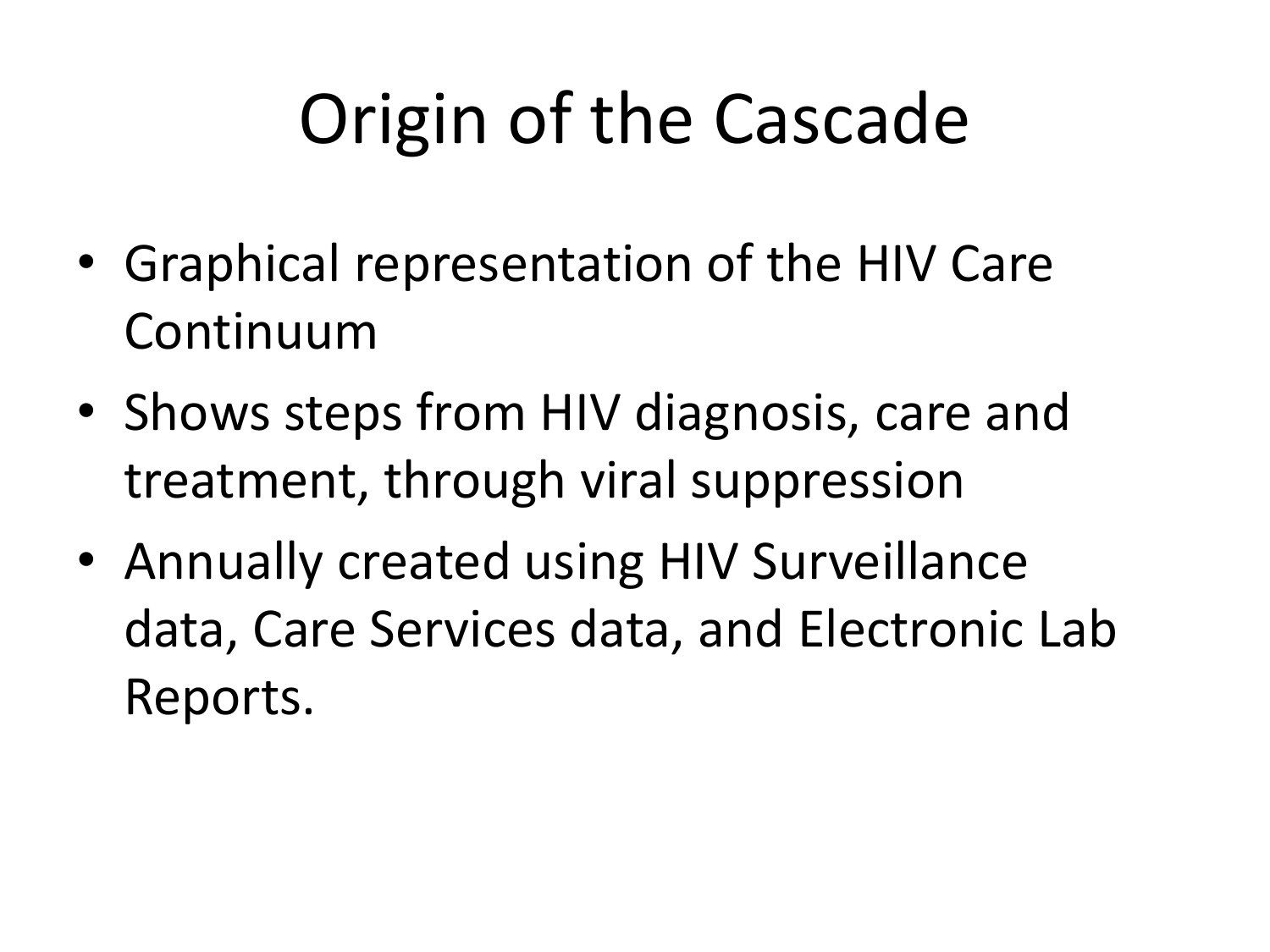# Origin of the Cascade

- Graphical representation of the HIV Care Continuum
- Shows steps from HIV diagnosis, care and treatment, through viral suppression
- Annually created using HIV Surveillance data, Care Services data, and Electronic Lab Reports.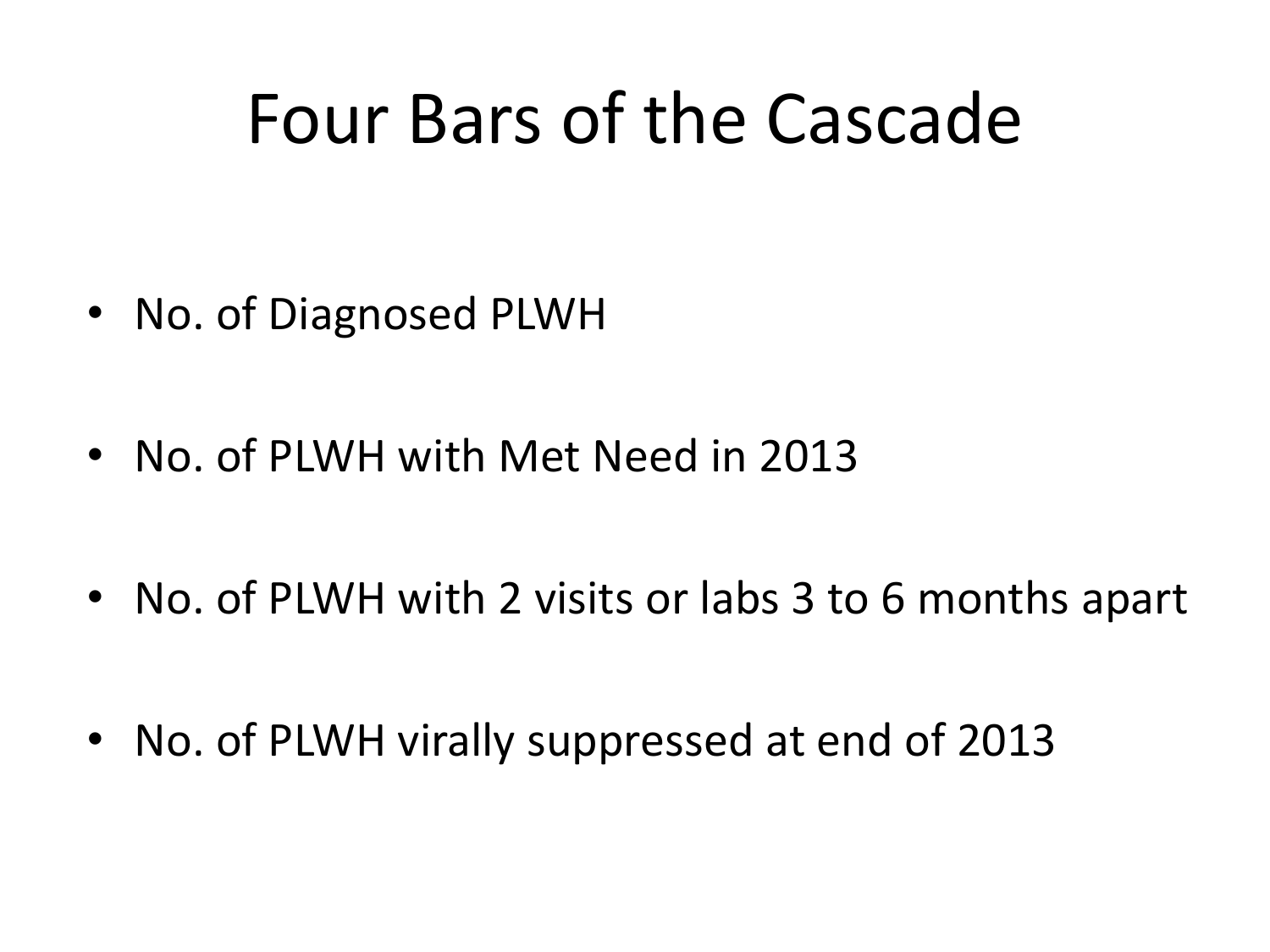## Four Bars of the Cascade

- No. of Diagnosed PLWH
- No. of PLWH with Met Need in 2013
- No. of PLWH with 2 visits or labs 3 to 6 months apart
- No. of PLWH virally suppressed at end of 2013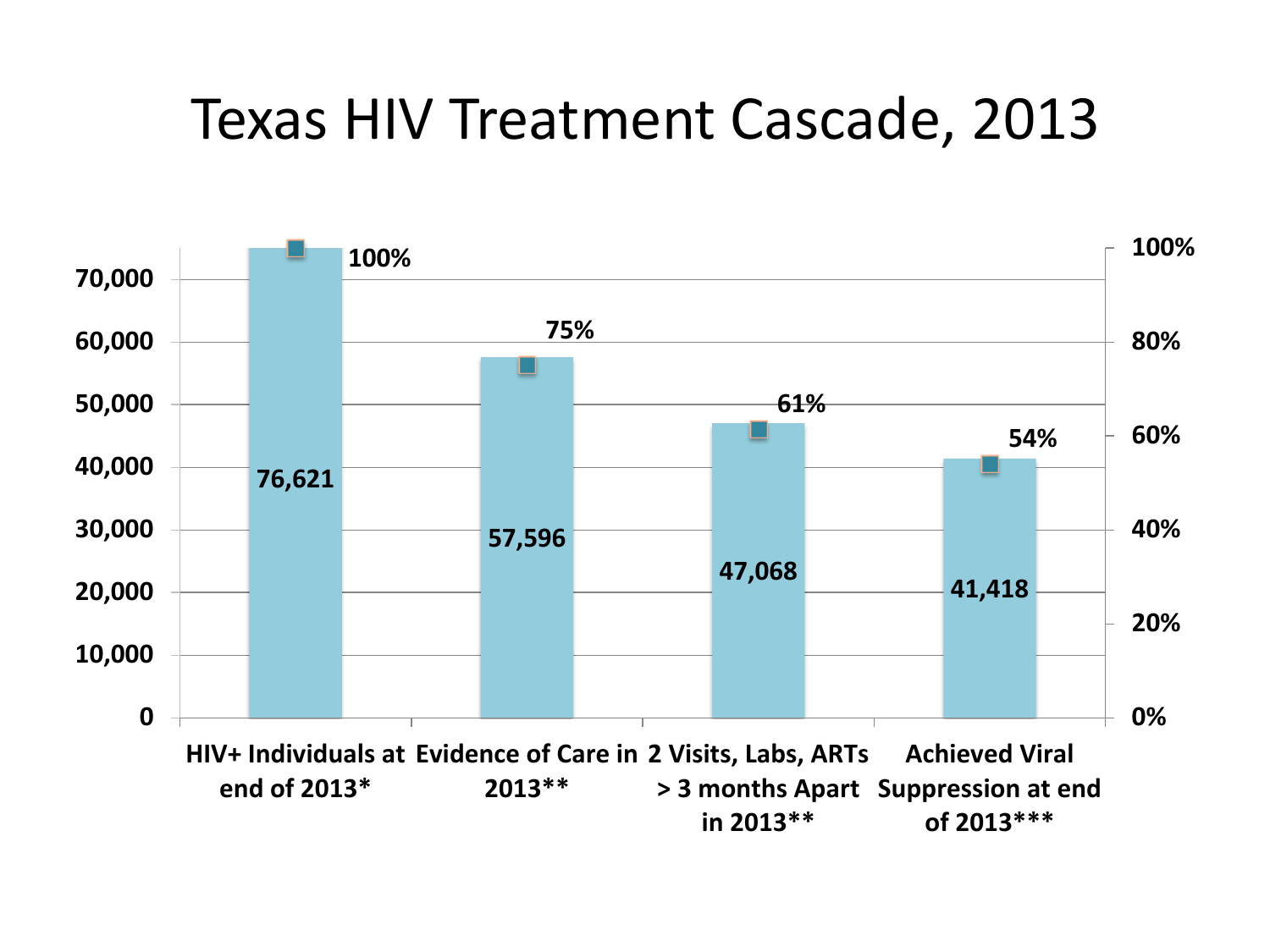#### Texas HIV Treatment Cascade, 2013

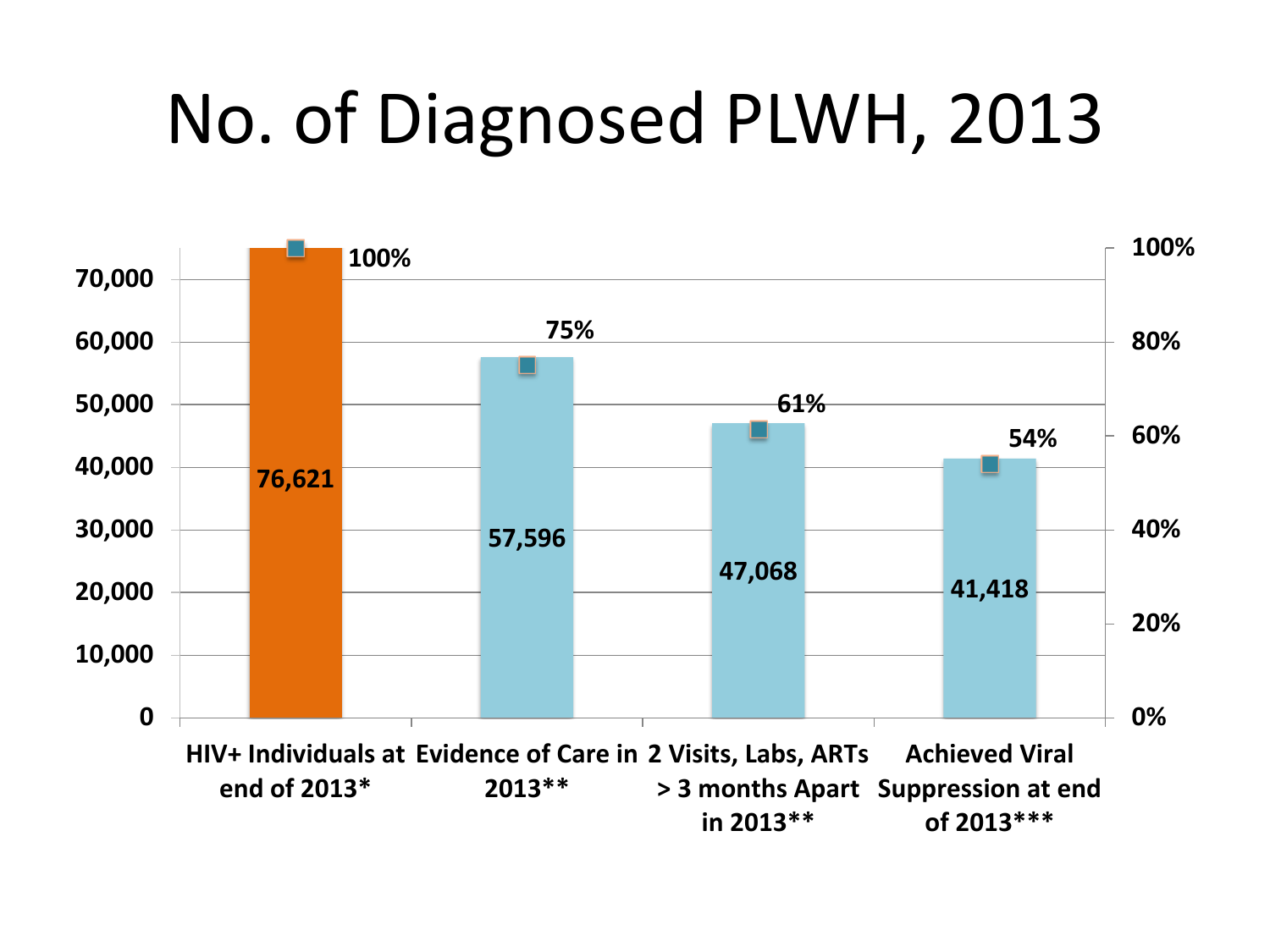# No. of Diagnosed PLWH, 2013

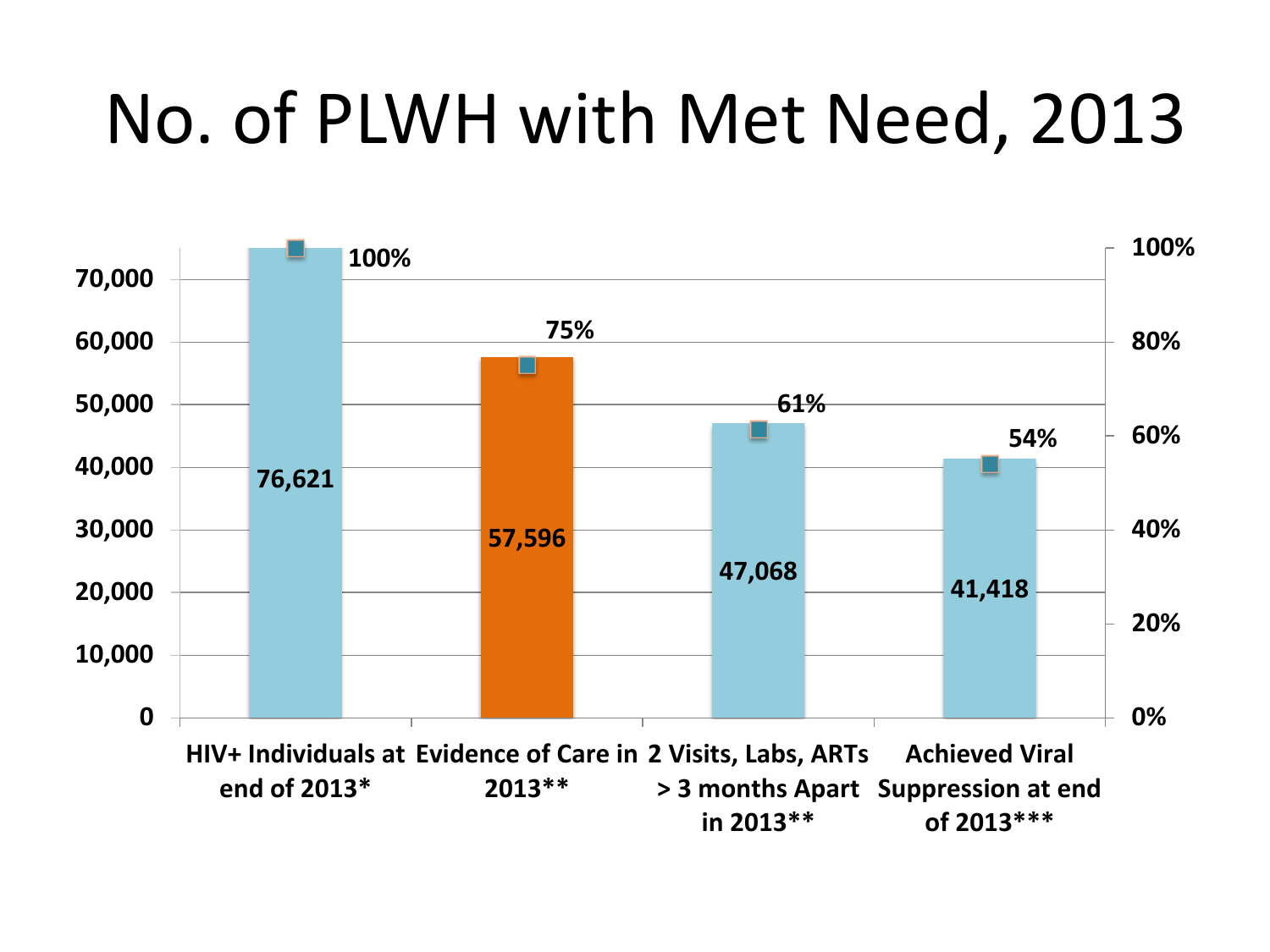# No. of PLWH with Met Need, 2013

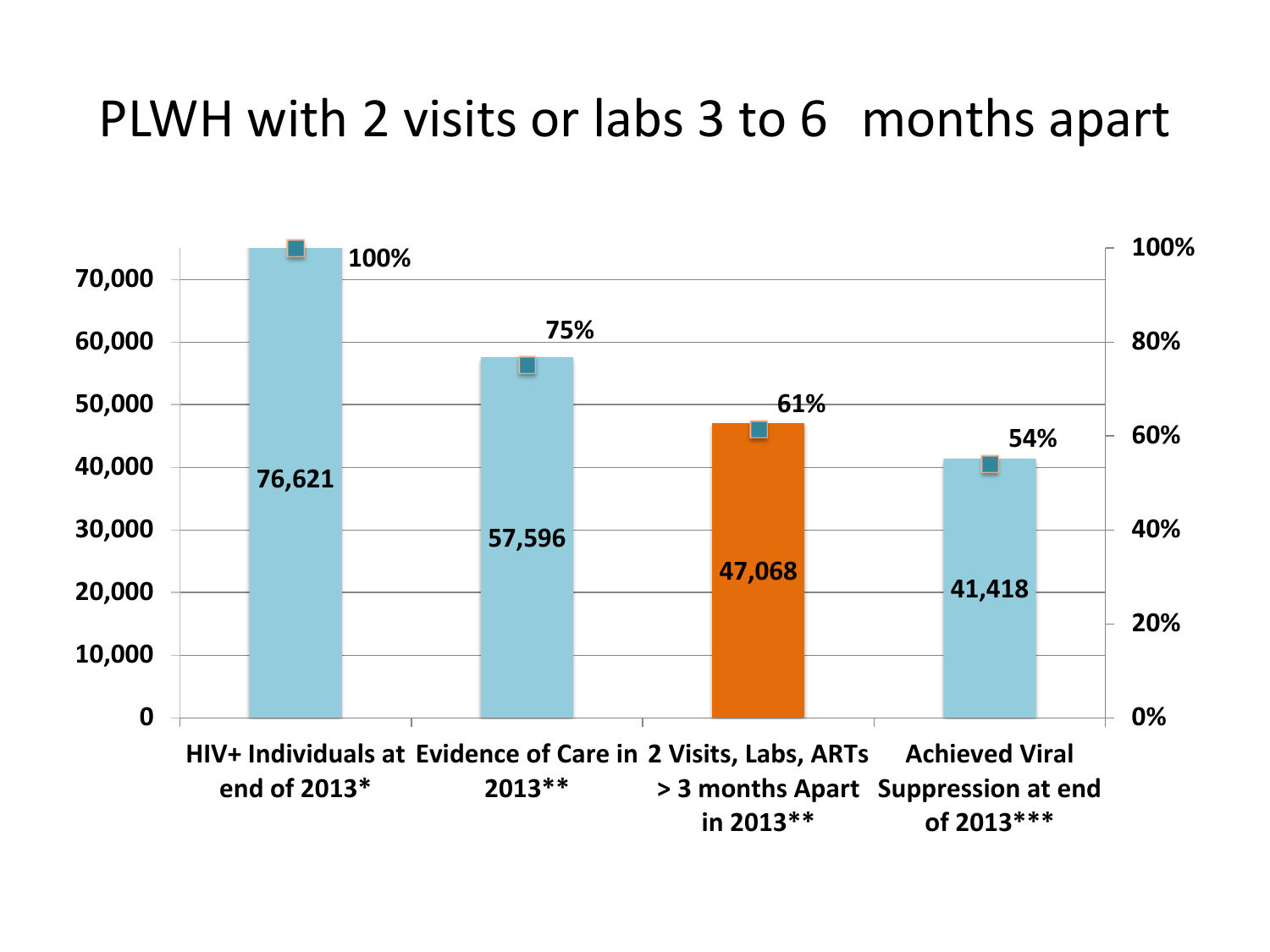#### PLWH with 2 visits or labs 3 to 6 months apart

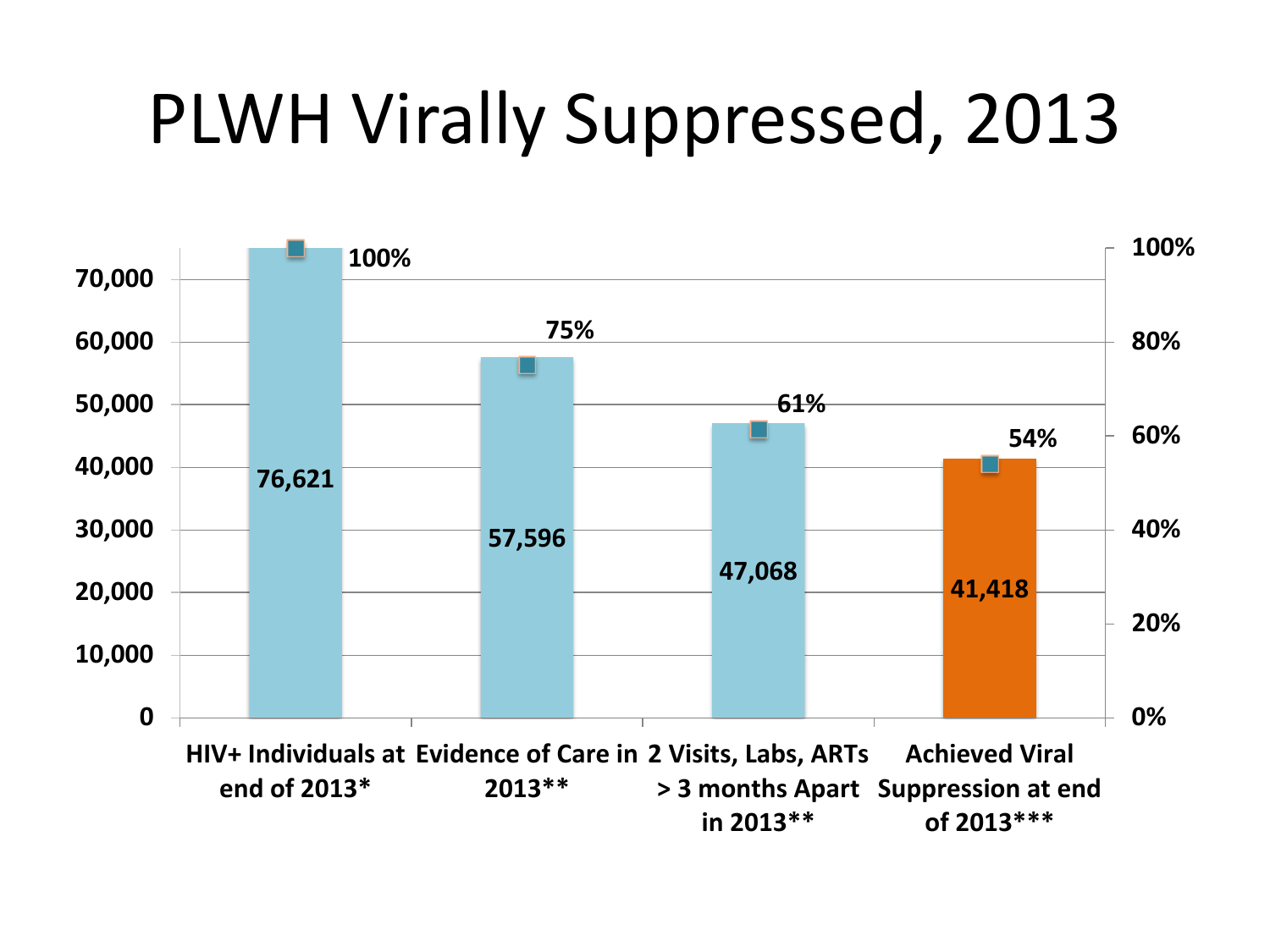# PLWH Virally Suppressed, 2013

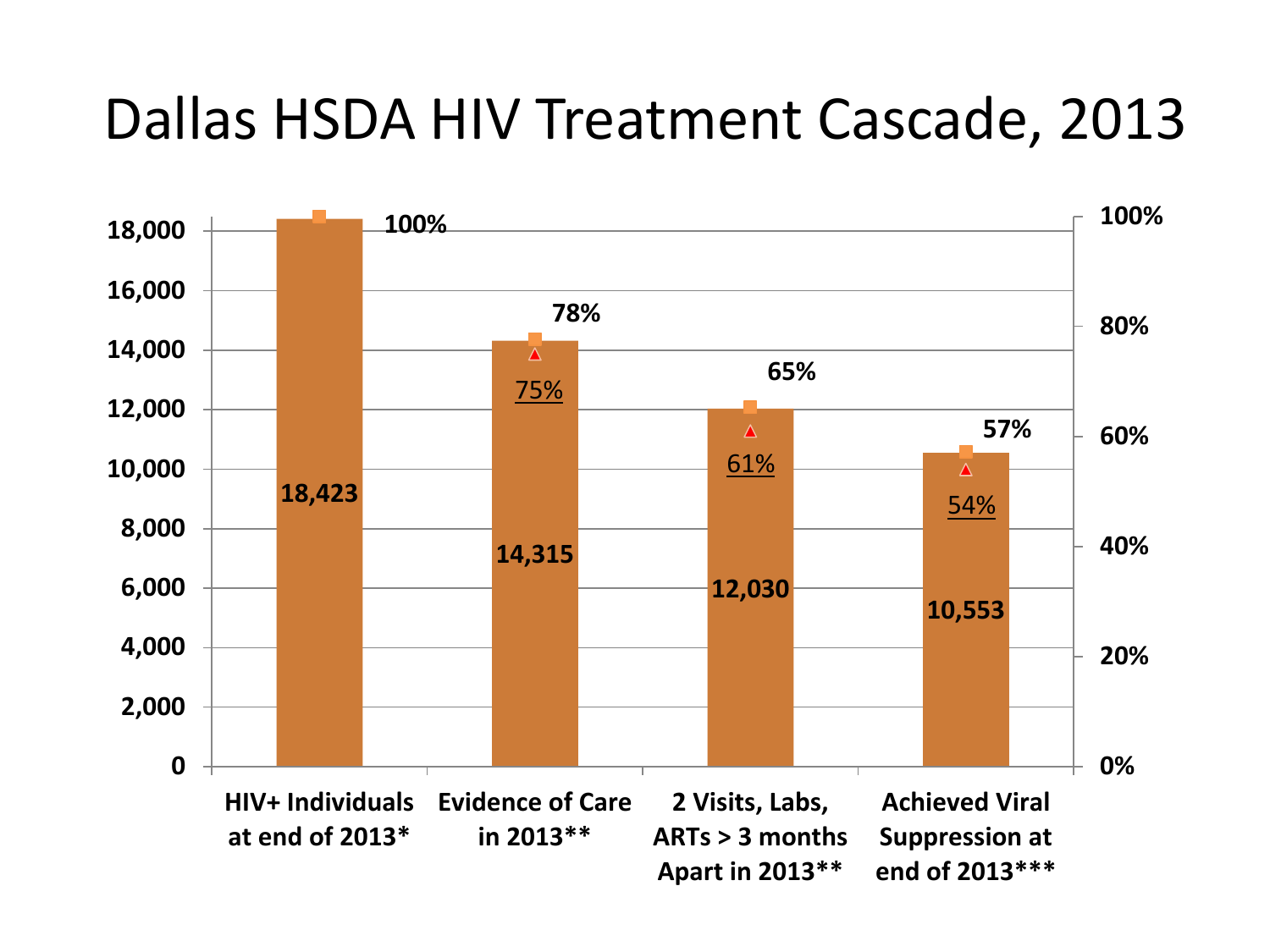### Dallas HSDA HIV Treatment Cascade, 2013

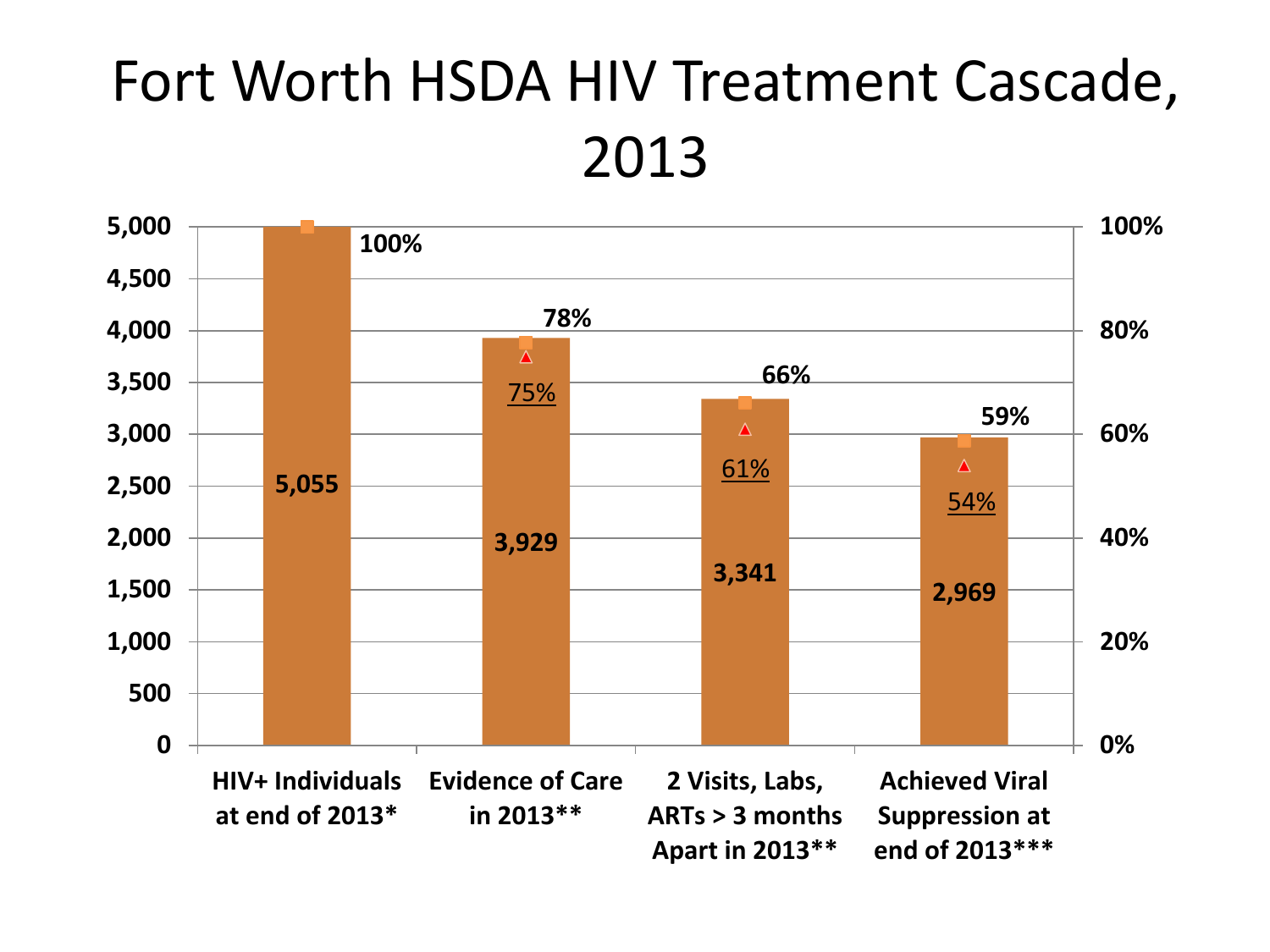### Fort Worth HSDA HIV Treatment Cascade, 2013

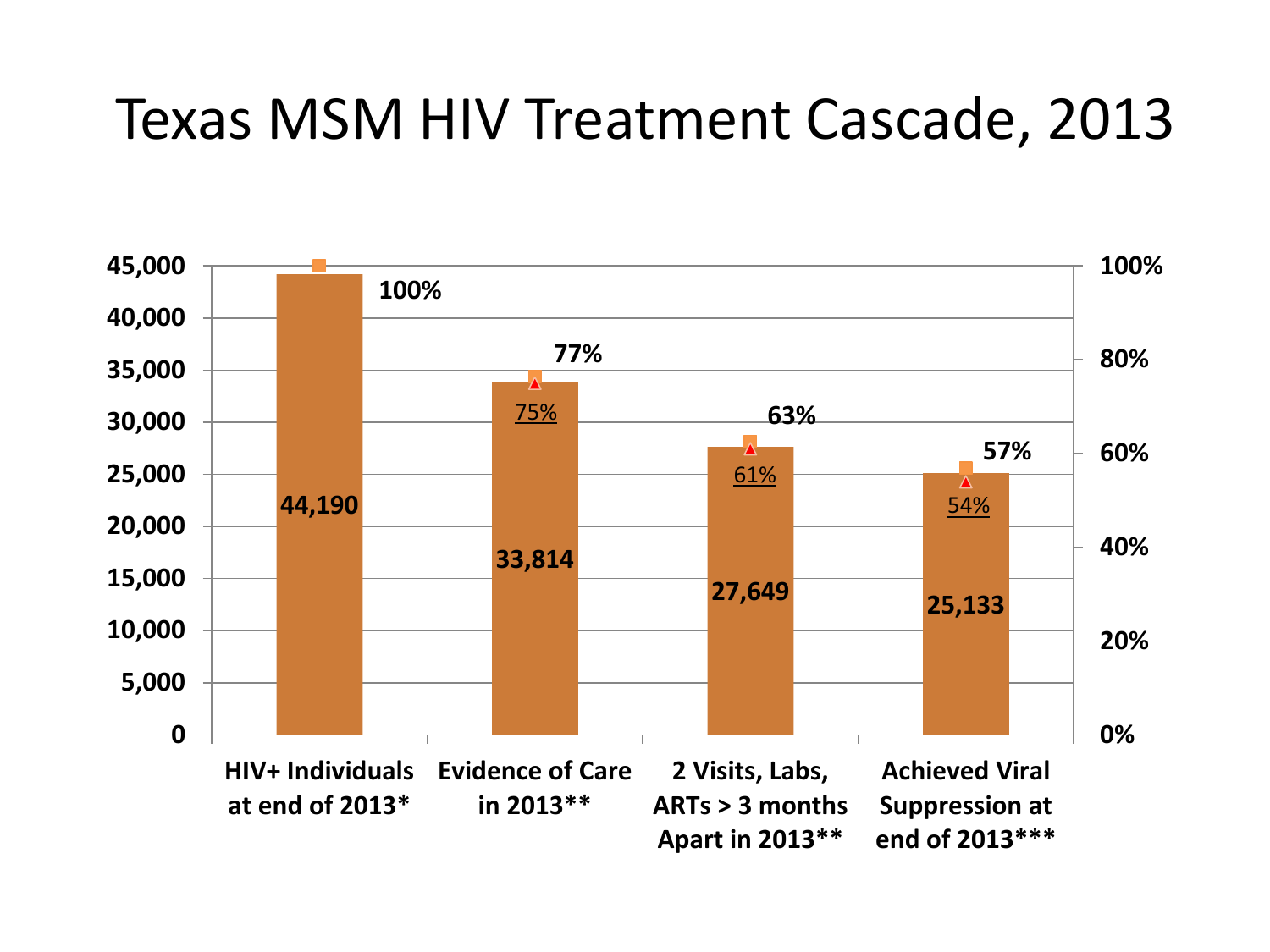#### Texas MSM HIV Treatment Cascade, 2013

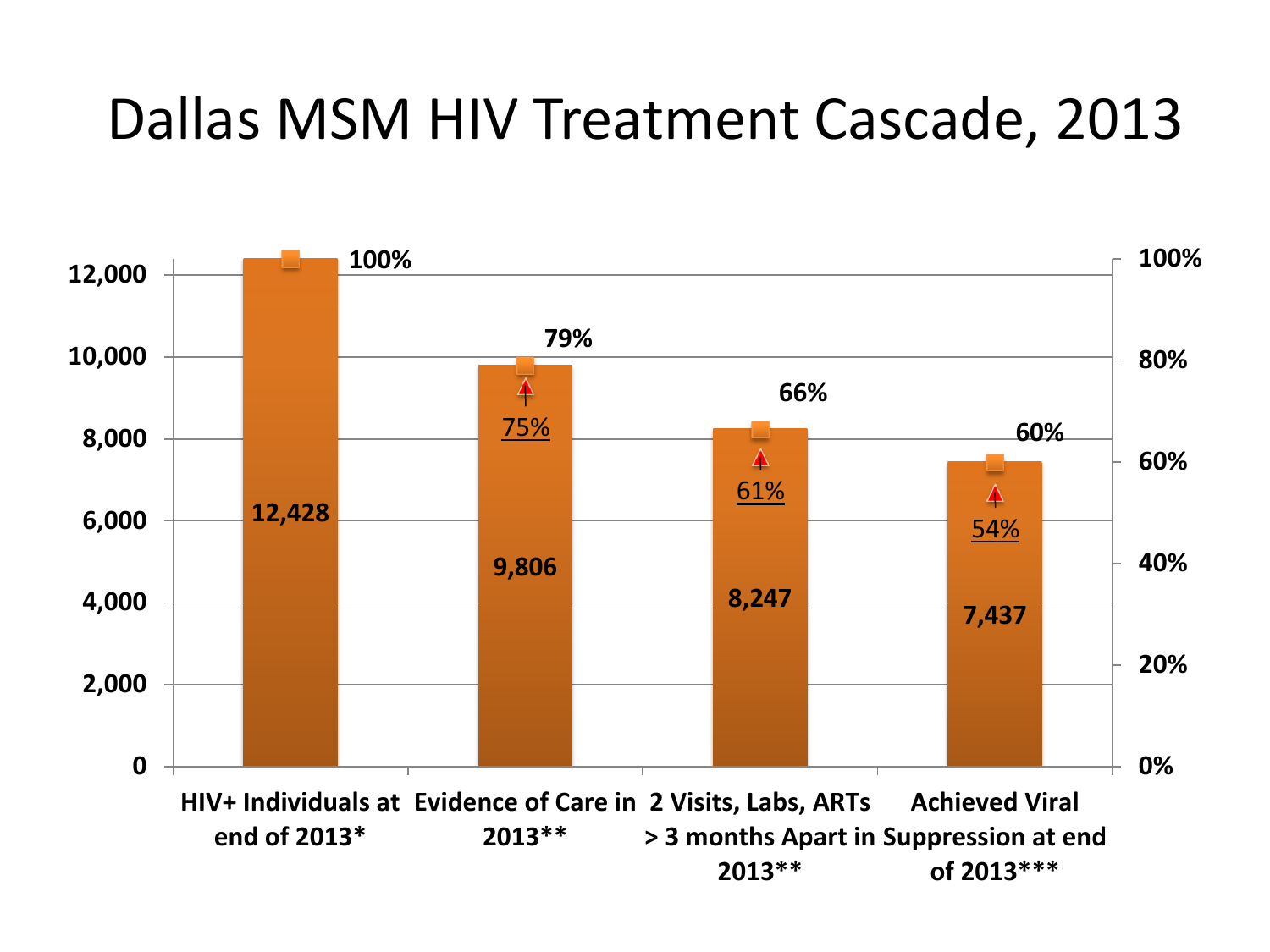### Dallas MSM HIV Treatment Cascade, 2013

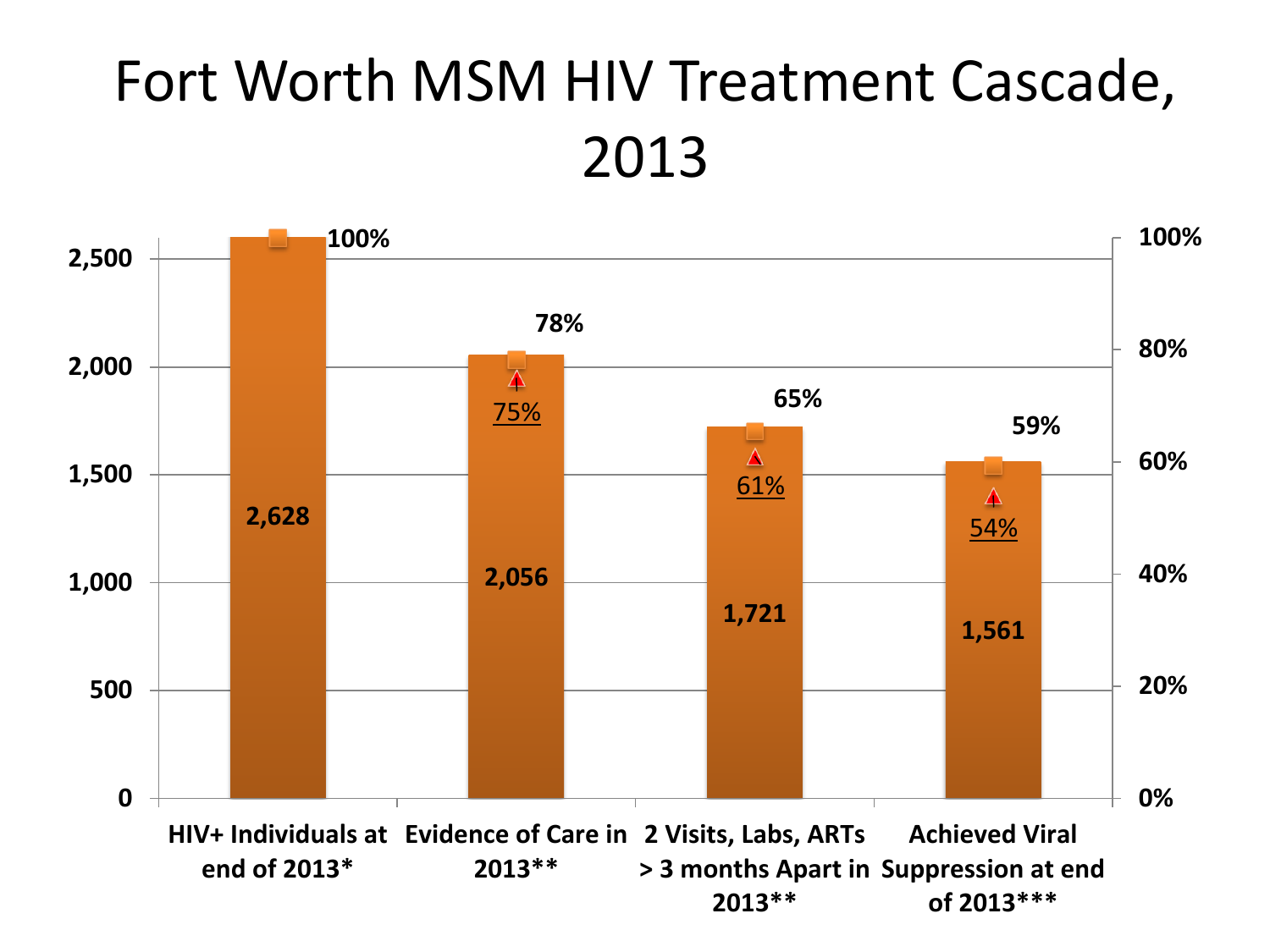### Fort Worth MSM HIV Treatment Cascade, 2013

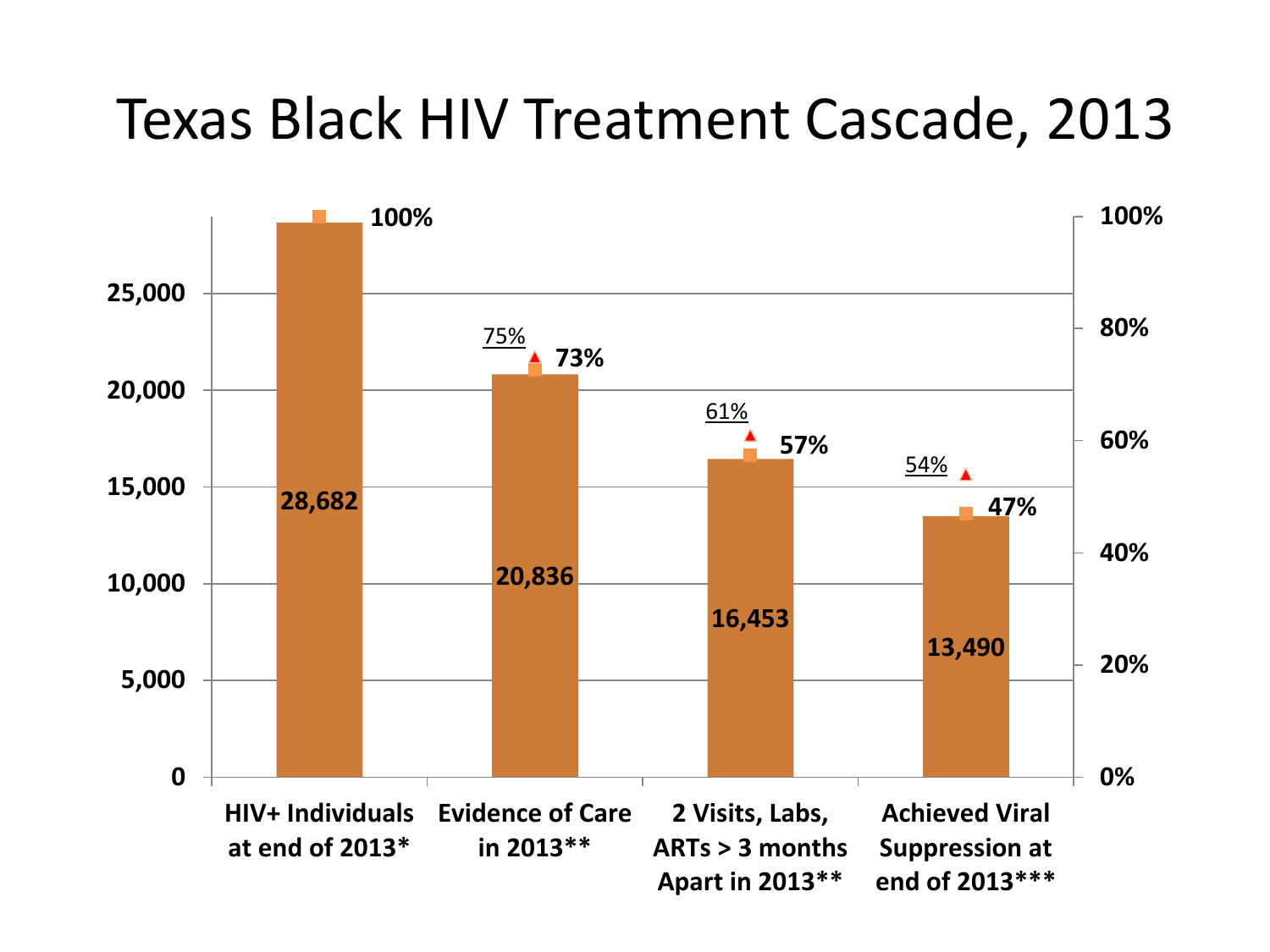#### Texas Black HIV Treatment Cascade, 2013

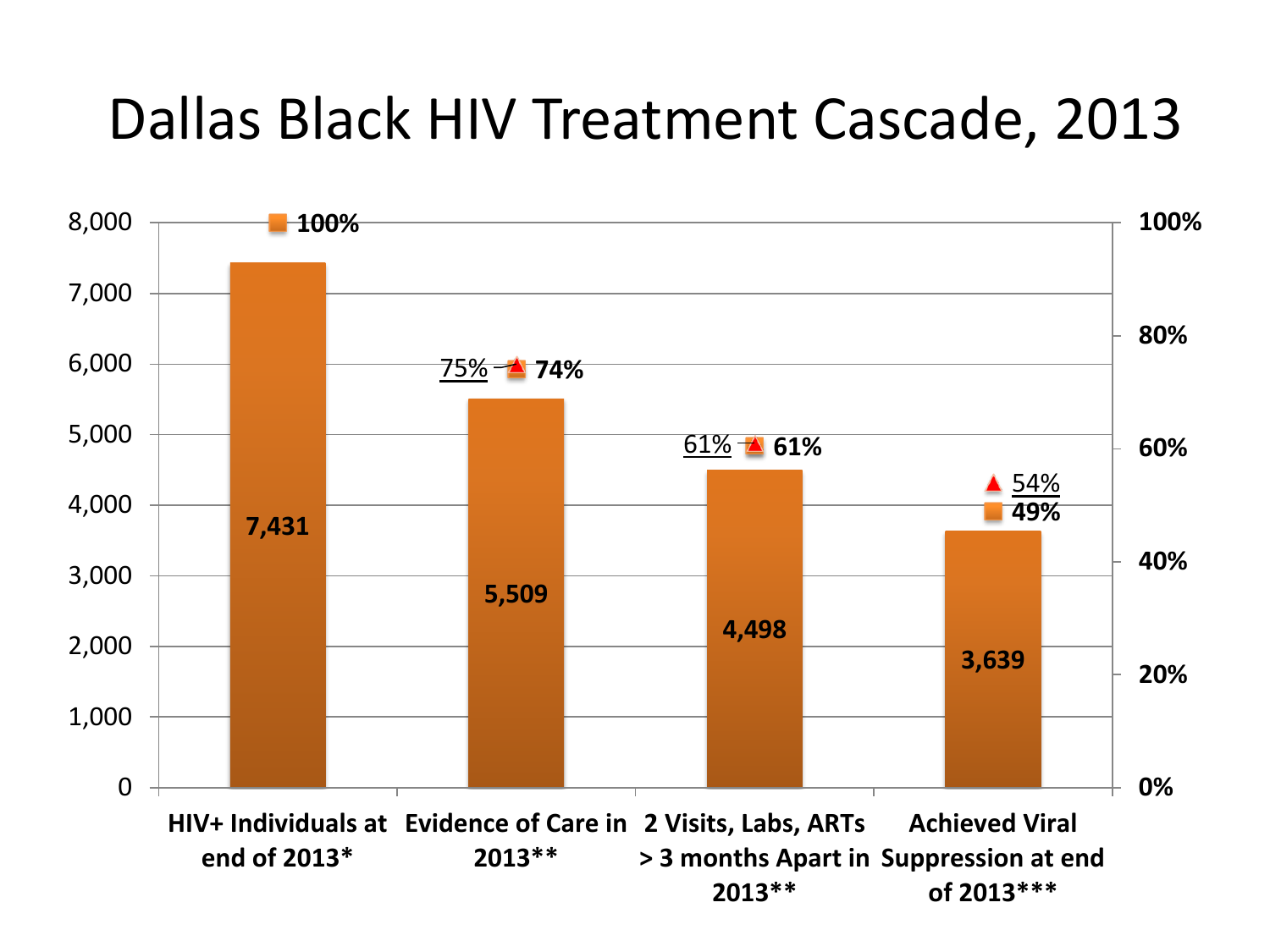### Dallas Black HIV Treatment Cascade, 2013

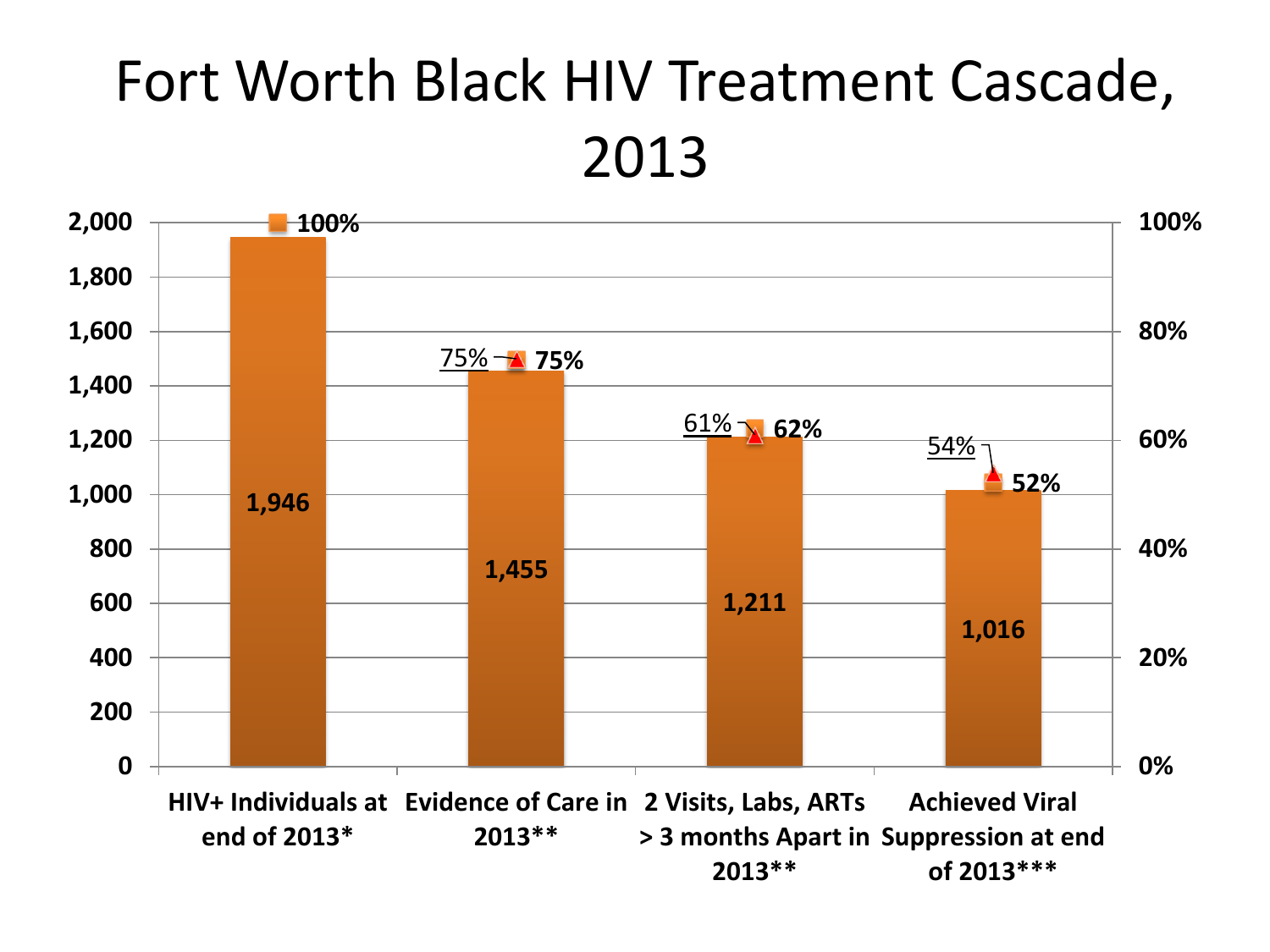### Fort Worth Black HIV Treatment Cascade, 2013

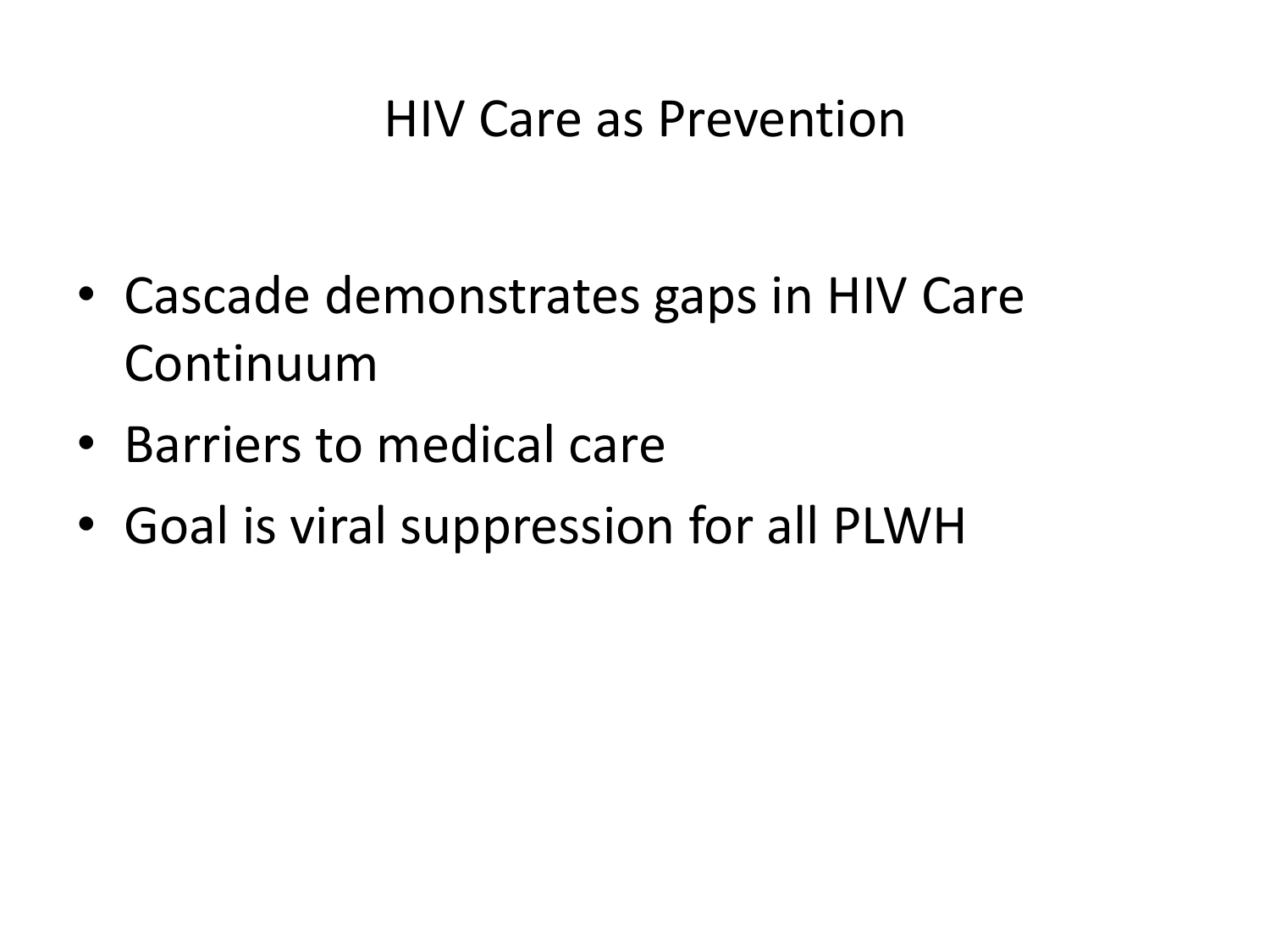#### HIV Care as Prevention

- Cascade demonstrates gaps in HIV Care Continuum
- Barriers to medical care
- Goal is viral suppression for all PLWH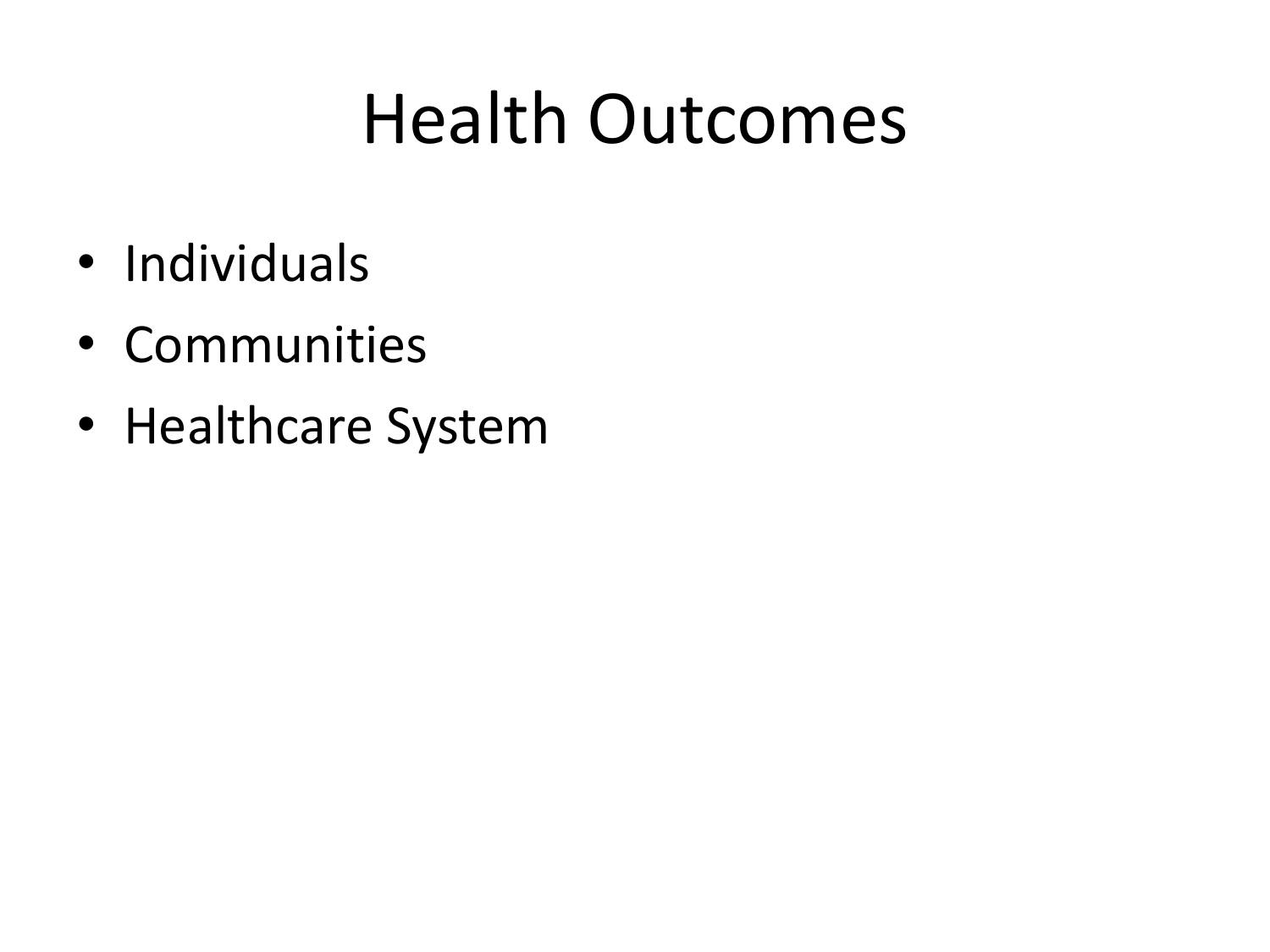## Health Outcomes

- Individuals
- Communities
- Healthcare System